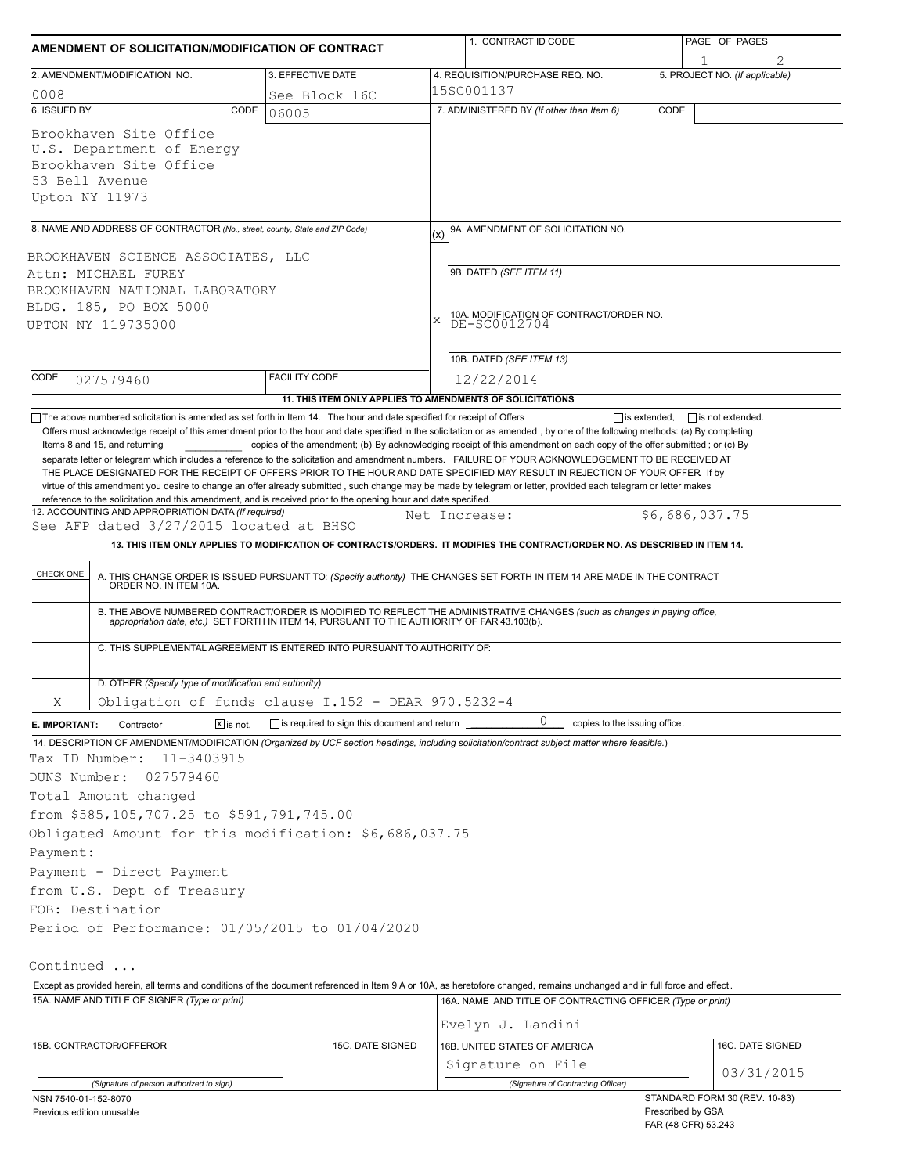| AMENDMENT OF SOLICITATION/MODIFICATION OF CONTRACT                                                                                                                        |                      |                                              |           | 1. CONTRACT ID CODE                                                                                                                                                                                                                                                                                                 | PAGE OF PAGES |                                          |            |
|---------------------------------------------------------------------------------------------------------------------------------------------------------------------------|----------------------|----------------------------------------------|-----------|---------------------------------------------------------------------------------------------------------------------------------------------------------------------------------------------------------------------------------------------------------------------------------------------------------------------|---------------|------------------------------------------|------------|
| 2. AMENDMENT/MODIFICATION NO.                                                                                                                                             |                      | 3. EFFECTIVE DATE                            |           | 4. REQUISITION/PURCHASE REQ. NO.                                                                                                                                                                                                                                                                                    |               | 5. PROJECT NO. (If applicable)           |            |
| 0008                                                                                                                                                                      |                      | See Block 16C                                |           | 15SC001137                                                                                                                                                                                                                                                                                                          |               |                                          |            |
| 6. ISSUED BY                                                                                                                                                              | CODE<br>06005        |                                              |           | 7. ADMINISTERED BY (If other than Item 6)                                                                                                                                                                                                                                                                           | CODE          |                                          |            |
| Brookhaven Site Office<br>U.S. Department of Energy<br>Brookhaven Site Office<br>53 Bell Avenue<br>Upton NY 11973                                                         |                      |                                              |           |                                                                                                                                                                                                                                                                                                                     |               |                                          |            |
|                                                                                                                                                                           |                      |                                              |           |                                                                                                                                                                                                                                                                                                                     |               |                                          |            |
| 8. NAME AND ADDRESS OF CONTRACTOR (No., street, county, State and ZIP Code)                                                                                               |                      |                                              | (x)       | 9A. AMENDMENT OF SOLICITATION NO.                                                                                                                                                                                                                                                                                   |               |                                          |            |
| BROOKHAVEN SCIENCE ASSOCIATES, LLC                                                                                                                                        |                      |                                              |           |                                                                                                                                                                                                                                                                                                                     |               |                                          |            |
| Attn: MICHAEL FUREY                                                                                                                                                       |                      |                                              |           | 9B. DATED (SEE ITEM 11)                                                                                                                                                                                                                                                                                             |               |                                          |            |
| BROOKHAVEN NATIONAL LABORATORY                                                                                                                                            |                      |                                              |           |                                                                                                                                                                                                                                                                                                                     |               |                                          |            |
| BLDG. 185, PO BOX 5000<br>UPTON NY 119735000                                                                                                                              |                      |                                              | $\bar{x}$ | 10A. MODIFICATION OF CONTRACT/ORDER NO.<br>DE-SC0012704                                                                                                                                                                                                                                                             |               |                                          |            |
|                                                                                                                                                                           |                      |                                              |           |                                                                                                                                                                                                                                                                                                                     |               |                                          |            |
|                                                                                                                                                                           |                      |                                              |           | 10B. DATED (SEE ITEM 13)                                                                                                                                                                                                                                                                                            |               |                                          |            |
| CODE<br>027579460                                                                                                                                                         | <b>FACILITY CODE</b> |                                              |           | 12/22/2014                                                                                                                                                                                                                                                                                                          |               |                                          |            |
|                                                                                                                                                                           |                      |                                              |           | 11. THIS ITEM ONLY APPLIES TO AMENDMENTS OF SOLICITATIONS                                                                                                                                                                                                                                                           |               |                                          |            |
| reference to the solicitation and this amendment, and is received prior to the opening hour and date specified.<br>12. ACCOUNTING AND APPROPRIATION DATA (If required)    |                      |                                              |           | THE PLACE DESIGNATED FOR THE RECEIPT OF OFFERS PRIOR TO THE HOUR AND DATE SPECIFIED MAY RESULT IN REJECTION OF YOUR OFFER If by<br>virtue of this amendment you desire to change an offer already submitted, such change may be made by telegram or letter, provided each telegram or letter makes<br>Net Increase: |               | \$6,686,037.75                           |            |
| See AFP dated 3/27/2015 located at BHSO                                                                                                                                   |                      |                                              |           |                                                                                                                                                                                                                                                                                                                     |               |                                          |            |
|                                                                                                                                                                           |                      |                                              |           | 13. THIS ITEM ONLY APPLIES TO MODIFICATION OF CONTRACTS/ORDERS. IT MODIFIES THE CONTRACT/ORDER NO. AS DESCRIBED IN ITEM 14.                                                                                                                                                                                         |               |                                          |            |
| CHECK ONE                                                                                                                                                                 |                      |                                              |           | A. THIS CHANGE ORDER IS ISSUED PURSUANT TO: (Specify authority) THE CHANGES SET FORTH IN ITEM 14 ARE MADE IN THE CONTRACT ORDER NO. IN ITEM 10A.                                                                                                                                                                    |               |                                          |            |
|                                                                                                                                                                           |                      |                                              |           | B. THE ABOVE NUMBERED CONTRACT/ORDER IS MODIFIED TO REFLECT THE ADMINISTRATIVE CHANGES (such as changes in paying office, appropriation date, etc.) SET FORTH IN ITEM 14, PURSUANT TO THE AUTHORITY OF FAR 43.103(b).                                                                                               |               |                                          |            |
| C. THIS SUPPLEMENTAL AGREEMENT IS ENTERED INTO PURSUANT TO AUTHORITY OF:                                                                                                  |                      |                                              |           |                                                                                                                                                                                                                                                                                                                     |               |                                          |            |
| D. OTHER (Specify type of modification and authority)                                                                                                                     |                      |                                              |           |                                                                                                                                                                                                                                                                                                                     |               |                                          |            |
| Obligation of funds clause I.152 - DEAR 970.5232-4<br>Χ                                                                                                                   |                      |                                              |           |                                                                                                                                                                                                                                                                                                                     |               |                                          |            |
| Contractor<br>$X$ is not.<br>E. IMPORTANT:                                                                                                                                |                      | is required to sign this document and return |           | 0<br>copies to the issuing office.                                                                                                                                                                                                                                                                                  |               |                                          |            |
| 14. DESCRIPTION OF AMENDMENT/MODIFICATION (Organized by UCF section headings, including solicitation/contract subject matter where feasible.)                             |                      |                                              |           |                                                                                                                                                                                                                                                                                                                     |               |                                          |            |
| Tax ID Number:<br>11-3403915                                                                                                                                              |                      |                                              |           |                                                                                                                                                                                                                                                                                                                     |               |                                          |            |
| DUNS Number:<br>027579460                                                                                                                                                 |                      |                                              |           |                                                                                                                                                                                                                                                                                                                     |               |                                          |            |
| Total Amount changed                                                                                                                                                      |                      |                                              |           |                                                                                                                                                                                                                                                                                                                     |               |                                          |            |
| from \$585,105,707.25 to \$591,791,745.00                                                                                                                                 |                      |                                              |           |                                                                                                                                                                                                                                                                                                                     |               |                                          |            |
| Obligated Amount for this modification: \$6,686,037.75                                                                                                                    |                      |                                              |           |                                                                                                                                                                                                                                                                                                                     |               |                                          |            |
| Payment:                                                                                                                                                                  |                      |                                              |           |                                                                                                                                                                                                                                                                                                                     |               |                                          |            |
| Payment - Direct Payment                                                                                                                                                  |                      |                                              |           |                                                                                                                                                                                                                                                                                                                     |               |                                          |            |
| from U.S. Dept of Treasury                                                                                                                                                |                      |                                              |           |                                                                                                                                                                                                                                                                                                                     |               |                                          |            |
| FOB: Destination<br>Period of Performance: 01/05/2015 to 01/04/2020                                                                                                       |                      |                                              |           |                                                                                                                                                                                                                                                                                                                     |               |                                          |            |
|                                                                                                                                                                           |                      |                                              |           |                                                                                                                                                                                                                                                                                                                     |               |                                          |            |
| Continued                                                                                                                                                                 |                      |                                              |           |                                                                                                                                                                                                                                                                                                                     |               |                                          |            |
| Except as provided herein, all terms and conditions of the document referenced in Item 9 A or 10A, as heretofore changed, remains unchanged and in full force and effect. |                      |                                              |           |                                                                                                                                                                                                                                                                                                                     |               |                                          |            |
| 15A. NAME AND TITLE OF SIGNER (Type or print)                                                                                                                             |                      |                                              |           | 16A. NAME AND TITLE OF CONTRACTING OFFICER (Type or print)<br>Evelyn J. Landini                                                                                                                                                                                                                                     |               |                                          |            |
| 15B. CONTRACTOR/OFFEROR                                                                                                                                                   |                      | 15C. DATE SIGNED                             |           | 16B. UNITED STATES OF AMERICA                                                                                                                                                                                                                                                                                       |               | 16C. DATE SIGNED                         |            |
|                                                                                                                                                                           |                      |                                              |           | Signature on File                                                                                                                                                                                                                                                                                                   |               |                                          |            |
|                                                                                                                                                                           |                      |                                              |           |                                                                                                                                                                                                                                                                                                                     |               |                                          | 03/31/2015 |
| (Signature of person authorized to sign)<br>NSN 7540-01-152-8070                                                                                                          |                      |                                              |           | (Signature of Contracting Officer)                                                                                                                                                                                                                                                                                  |               | STANDARD FORM 30 (REV. 10-83)            |            |
| Previous edition unusable                                                                                                                                                 |                      |                                              |           |                                                                                                                                                                                                                                                                                                                     |               | Prescribed by GSA<br>FAR (48 CFR) 53.243 |            |